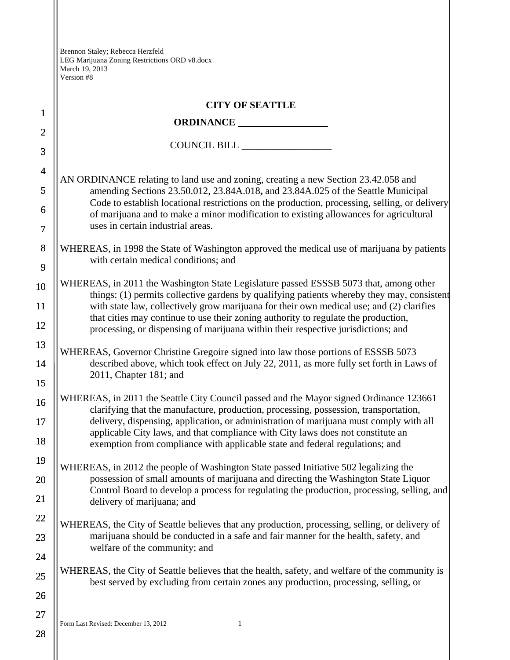|                | <b>CITY OF SEATTLE</b>                                                                                                                                                                                 |  |  |  |  |  |
|----------------|--------------------------------------------------------------------------------------------------------------------------------------------------------------------------------------------------------|--|--|--|--|--|
| $\mathbf{1}$   |                                                                                                                                                                                                        |  |  |  |  |  |
| $\overline{2}$ | COUNCIL BILL                                                                                                                                                                                           |  |  |  |  |  |
| 3              |                                                                                                                                                                                                        |  |  |  |  |  |
| $\overline{4}$ | AN ORDINANCE relating to land use and zoning, creating a new Section 23.42.058 and                                                                                                                     |  |  |  |  |  |
| 5              | amending Sections 23.50.012, 23.84A.018, and 23.84A.025 of the Seattle Municipal<br>Code to establish locational restrictions on the production, processing, selling, or delivery                      |  |  |  |  |  |
| 6              | of marijuana and to make a minor modification to existing allowances for agricultural<br>uses in certain industrial areas.                                                                             |  |  |  |  |  |
| $\tau$         |                                                                                                                                                                                                        |  |  |  |  |  |
| 8              | WHEREAS, in 1998 the State of Washington approved the medical use of marijuana by patients<br>with certain medical conditions; and                                                                     |  |  |  |  |  |
| 9              |                                                                                                                                                                                                        |  |  |  |  |  |
| 10             | WHEREAS, in 2011 the Washington State Legislature passed ESSSB 5073 that, among other<br>things: (1) permits collective gardens by qualifying patients whereby they may, consistent                    |  |  |  |  |  |
| 11             | with state law, collectively grow marijuana for their own medical use; and (2) clarifies                                                                                                               |  |  |  |  |  |
| 12             | that cities may continue to use their zoning authority to regulate the production,<br>processing, or dispensing of marijuana within their respective jurisdictions; and                                |  |  |  |  |  |
| 13             | WHEREAS, Governor Christine Gregoire signed into law those portions of ESSSB 5073<br>described above, which took effect on July 22, 2011, as more fully set forth in Laws of<br>2011, Chapter 181; and |  |  |  |  |  |
| 14             |                                                                                                                                                                                                        |  |  |  |  |  |
| 15             |                                                                                                                                                                                                        |  |  |  |  |  |
| 16             | WHEREAS, in 2011 the Seattle City Council passed and the Mayor signed Ordinance 123661<br>clarifying that the manufacture, production, processing, possession, transportation,                         |  |  |  |  |  |
| 17             | delivery, dispensing, application, or administration of marijuana must comply with all<br>applicable City laws, and that compliance with City laws does not constitute an                              |  |  |  |  |  |
| 18             | exemption from compliance with applicable state and federal regulations; and                                                                                                                           |  |  |  |  |  |
| 19             | WHEREAS, in 2012 the people of Washington State passed Initiative 502 legalizing the                                                                                                                   |  |  |  |  |  |
| 20             | possession of small amounts of marijuana and directing the Washington State Liquor<br>Control Board to develop a process for regulating the production, processing, selling, and                       |  |  |  |  |  |
| 21             | delivery of marijuana; and                                                                                                                                                                             |  |  |  |  |  |
| 22             | WHEREAS, the City of Seattle believes that any production, processing, selling, or delivery of                                                                                                         |  |  |  |  |  |
| 23             | marijuana should be conducted in a safe and fair manner for the health, safety, and                                                                                                                    |  |  |  |  |  |
| 24             | welfare of the community; and                                                                                                                                                                          |  |  |  |  |  |
| 25             | WHEREAS, the City of Seattle believes that the health, safety, and welfare of the community is<br>best served by excluding from certain zones any production, processing, selling, or                  |  |  |  |  |  |
| 26             |                                                                                                                                                                                                        |  |  |  |  |  |
| 27             | Form Last Revised: December 13, 2012<br>1                                                                                                                                                              |  |  |  |  |  |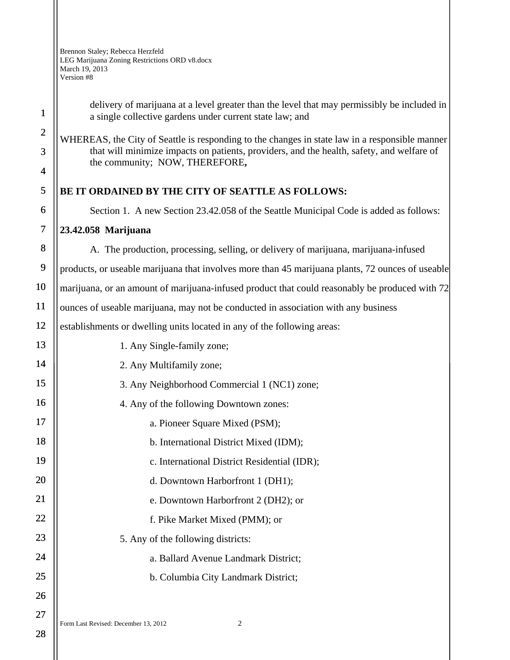> delivery of marijuana at a level greater than the level that may permissibly be included in a single collective gardens under current state law; and

WHEREAS, the City of Seattle is responding to the changes in state law in a responsible manner that will minimize impacts on patients, providers, and the health, safety, and welfare of the community; NOW, THEREFORE**,**

## **BE IT ORDAINED BY THE CITY OF SEATTLE AS FOLLOWS:**

Section 1. A new Section 23.42.058 of the Seattle Municipal Code is added as follows:

## **23.42.058 Marijuana**

A. The production, processing, selling, or delivery of marijuana, marijuana-infused

products, or useable marijuana that involves more than 45 marijuana plants, 72 ounces of useable

marijuana, or an amount of marijuana-infused product that could reasonably be produced with 72

ounces of useable marijuana, may not be conducted in association with any business

establishments or dwelling units located in any of the following areas:

13 14 15 16 17 18 19 20 21 22 23 24 25 26 27 1. Any Single-family zone; 2. Any Multifamily zone; 3. Any Neighborhood Commercial 1 (NC1) zone; 4. Any of the following Downtown zones: a. Pioneer Square Mixed (PSM); b. International District Mixed (IDM); c. International District Residential (IDR); d. Downtown Harborfront 1 (DH1); e. Downtown Harborfront 2 (DH2); or f. Pike Market Mixed (PMM); or 5. Any of the following districts: a. Ballard Avenue Landmark District; b. Columbia City Landmark District;

Form Last Revised: December 13, 2012 2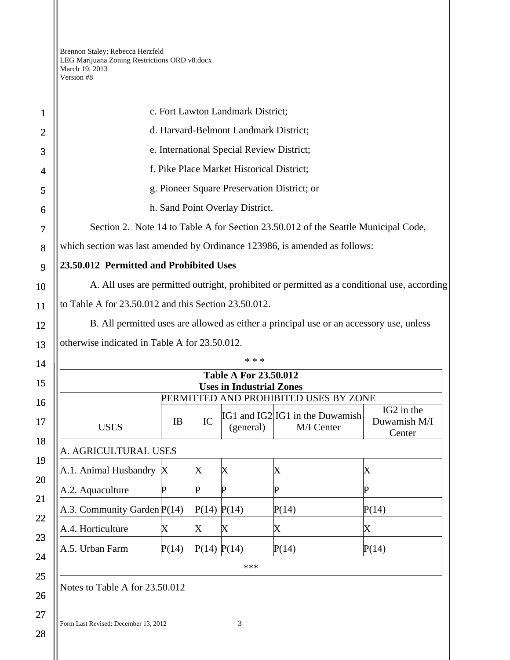| 1              | c. Fort Lawton Landmark District;                                                           |       |             |             |                                               |                                      |  |  |  |
|----------------|---------------------------------------------------------------------------------------------|-------|-------------|-------------|-----------------------------------------------|--------------------------------------|--|--|--|
| $\overline{2}$ | d. Harvard-Belmont Landmark District;                                                       |       |             |             |                                               |                                      |  |  |  |
| 3              | e. International Special Review District;                                                   |       |             |             |                                               |                                      |  |  |  |
| 4              | f. Pike Place Market Historical District;                                                   |       |             |             |                                               |                                      |  |  |  |
| 5              | g. Pioneer Square Preservation District; or                                                 |       |             |             |                                               |                                      |  |  |  |
| 6              | h. Sand Point Overlay District.                                                             |       |             |             |                                               |                                      |  |  |  |
| 7              | Section 2. Note 14 to Table A for Section 23.50.012 of the Seattle Municipal Code,          |       |             |             |                                               |                                      |  |  |  |
| 8              | which section was last amended by Ordinance 123986, is amended as follows:                  |       |             |             |                                               |                                      |  |  |  |
| 9              | 23.50.012 Permitted and Prohibited Uses                                                     |       |             |             |                                               |                                      |  |  |  |
| 10             | A. All uses are permitted outright, prohibited or permitted as a conditional use, according |       |             |             |                                               |                                      |  |  |  |
| 11             | to Table A for 23.50.012 and this Section 23.50.012.                                        |       |             |             |                                               |                                      |  |  |  |
| 12             | B. All permitted uses are allowed as either a principal use or an accessory use, unless     |       |             |             |                                               |                                      |  |  |  |
| 13             | otherwise indicated in Table A for 23.50.012.                                               |       |             |             |                                               |                                      |  |  |  |
| 14             | * * *                                                                                       |       |             |             |                                               |                                      |  |  |  |
| 15             | <b>Table A For 23.50.012</b><br><b>Uses in Industrial Zones</b>                             |       |             |             |                                               |                                      |  |  |  |
| 16             |                                                                                             |       |             |             | PERMITTED AND PROHIBITED USES BY ZONE         |                                      |  |  |  |
| 17             | <b>USES</b>                                                                                 | IB    | IC          | (general)   | IG1 and IG2 IG1 in the Duwamish<br>M/I Center | IG2 in the<br>Duwamish M/I<br>Center |  |  |  |
| 18             | A. AGRICULTURAL USES                                                                        |       |             |             |                                               |                                      |  |  |  |
| 19             | A.1. Animal Husbandry X                                                                     |       | X           | Х           | Х                                             | X                                    |  |  |  |
| 20             | A.2. Aquaculture                                                                            | P     | P           | P           | $\mathbf P$                                   | P                                    |  |  |  |
| 21             | A.3. Community Garden P(14)                                                                 |       | P(14) P(14) |             | P(14)                                         | P(14)                                |  |  |  |
| 22             | A.4. Horticulture                                                                           | X     | X           | $\mathbf X$ | $\mathbf X$                                   | X                                    |  |  |  |
| 23             | A.5. Urban Farm                                                                             | P(14) | P(14) P(14) |             | P(14)                                         | P(14)                                |  |  |  |
| 24             |                                                                                             |       |             | ***         |                                               |                                      |  |  |  |
| 25<br>26       | Notes to Table A for 23.50.012                                                              |       |             |             |                                               |                                      |  |  |  |
|                |                                                                                             |       |             |             |                                               |                                      |  |  |  |

Form Last Revised: December 13, 2012 3

27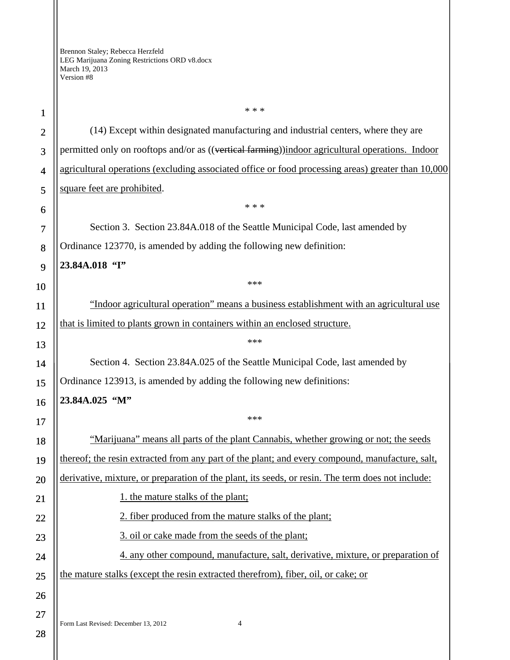Form Last Revised: December 13, 2012 4 21 22 23 24 25 26 27 \* \* \* (14) Except within designated manufacturing and industrial centers, where they are permitted only on rooftops and/or as ((vertical farming))indoor agricultural operations. Indoor agricultural operations (excluding associated office or food processing areas) greater than 10,000 square feet are prohibited. \* \* \* Section 3. Section 23.84A.018 of the Seattle Municipal Code, last amended by Ordinance 123770, is amended by adding the following new definition: **23.84A.018 "I"**  \*\*\* "Indoor agricultural operation" means a business establishment with an agricultural use that is limited to plants grown in containers within an enclosed structure. \*\*\* Section 4. Section 23.84A.025 of the Seattle Municipal Code, last amended by Ordinance 123913, is amended by adding the following new definitions: **23.84A.025 "M"**  \*\*\* "Marijuana" means all parts of the plant Cannabis, whether growing or not; the seeds thereof; the resin extracted from any part of the plant; and every compound, manufacture, salt, derivative, mixture, or preparation of the plant, its seeds, or resin. The term does not include: 1. the mature stalks of the plant; 2. fiber produced from the mature stalks of the plant; 3. oil or cake made from the seeds of the plant; 4. any other compound, manufacture, salt, derivative, mixture, or preparation of the mature stalks (except the resin extracted therefrom), fiber, oil, or cake; or

28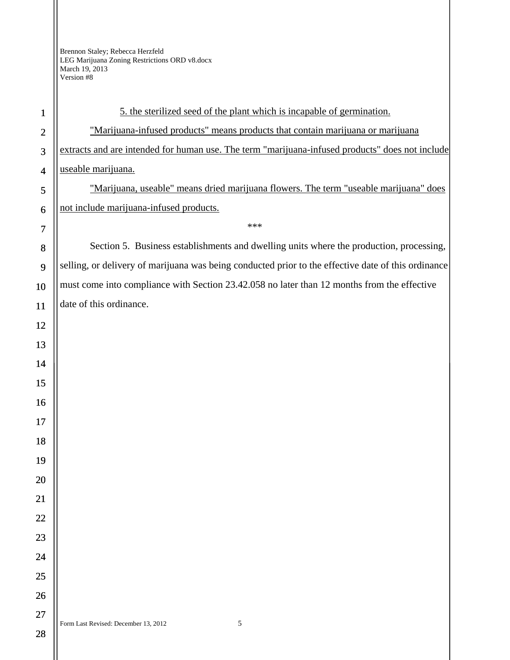$\mathsf{II}$ 

| $\mathbf{1}$   | 5. the sterilized seed of the plant which is incapable of germination.                              |
|----------------|-----------------------------------------------------------------------------------------------------|
| $\overline{2}$ | "Marijuana-infused products" means products that contain marijuana or marijuana                     |
| 3              | extracts and are intended for human use. The term "marijuana-infused products" does not include     |
| $\overline{4}$ | useable marijuana.                                                                                  |
| 5              | "Marijuana, useable" means dried marijuana flowers. The term "useable marijuana" does               |
| 6              | not include marijuana-infused products.                                                             |
| $\overline{7}$ | ***                                                                                                 |
| 8              | Section 5. Business establishments and dwelling units where the production, processing,             |
| 9              | selling, or delivery of marijuana was being conducted prior to the effective date of this ordinance |
| 10             | must come into compliance with Section 23.42.058 no later than 12 months from the effective         |
| 11             | date of this ordinance.                                                                             |
| 12             |                                                                                                     |
| 13             |                                                                                                     |
| 14             |                                                                                                     |
| 15             |                                                                                                     |
| 16             |                                                                                                     |
| 17             |                                                                                                     |
| 18             |                                                                                                     |
| 19             |                                                                                                     |
| 20             |                                                                                                     |
| 21             |                                                                                                     |
| 22             |                                                                                                     |
| 23             |                                                                                                     |
| 24             |                                                                                                     |
| 25             |                                                                                                     |
| 26             |                                                                                                     |
| 27             | $\sqrt{5}$<br>Form Last Revised: December 13, 2012                                                  |
| 28             |                                                                                                     |